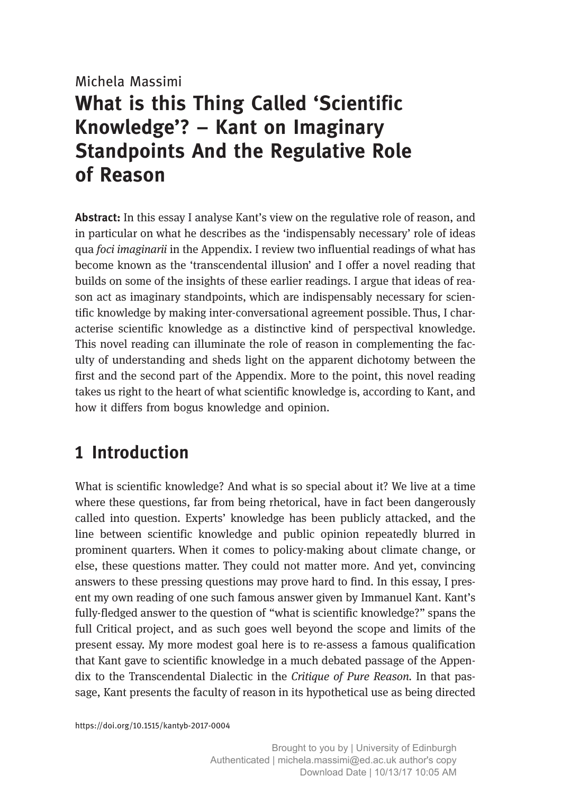# Michela Massimi What is this Thing Called 'Scientific Knowledge'? – Kant on Imaginary Standpoints And the Regulative Role of Reason

Abstract: In this essay I analyse Kant's view on the regulative role of reason, and in particular on what he describes as the 'indispensably necessary' role of ideas qua foci imaginarii in the Appendix. I review two influential readings of what has become known as the 'transcendental illusion' and I offer a novel reading that builds on some of the insights of these earlier readings. I argue that ideas of reason act as imaginary standpoints, which are indispensably necessary for scientific knowledge by making inter-conversational agreement possible. Thus, I characterise scientific knowledge as a distinctive kind of perspectival knowledge. This novel reading can illuminate the role of reason in complementing the faculty of understanding and sheds light on the apparent dichotomy between the first and the second part of the Appendix. More to the point, this novel reading takes us right to the heart of what scientific knowledge is, according to Kant, and how it differs from bogus knowledge and opinion.

## 1 Introduction

What is scientific knowledge? And what is so special about it? We live at a time where these questions, far from being rhetorical, have in fact been dangerously called into question. Experts' knowledge has been publicly attacked, and the line between scientific knowledge and public opinion repeatedly blurred in prominent quarters. When it comes to policy-making about climate change, or else, these questions matter. They could not matter more. And yet, convincing answers to these pressing questions may prove hard to find. In this essay, I present my own reading of one such famous answer given by Immanuel Kant. Kant's fully-fledged answer to the question of "what is scientific knowledge?" spans the full Critical project, and as such goes well beyond the scope and limits of the present essay. My more modest goal here is to re-assess a famous qualification that Kant gave to scientific knowledge in a much debated passage of the Appendix to the Transcendental Dialectic in the Critique of Pure Reason. In that passage, Kant presents the faculty of reason in its hypothetical use as being directed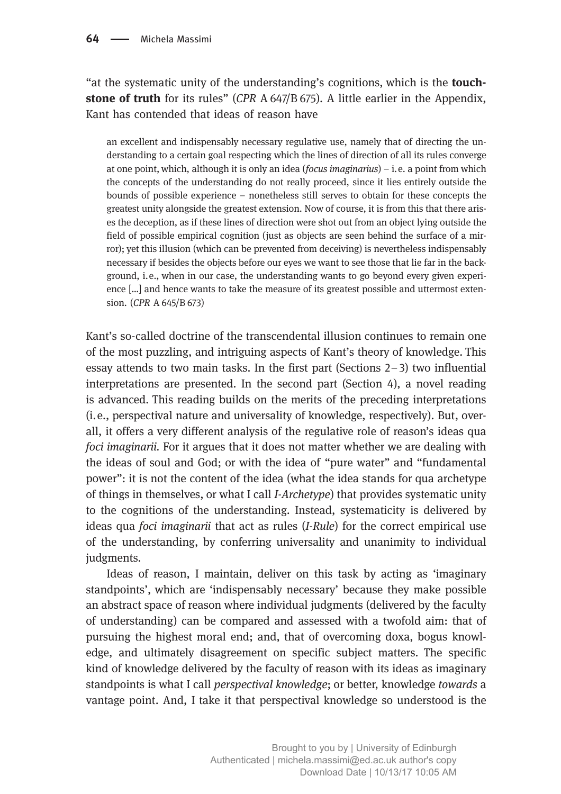"at the systematic unity of the understanding's cognitions, which is the touchstone of truth for its rules" (CPR A 647/B 675). A little earlier in the Appendix, Kant has contended that ideas of reason have

an excellent and indispensably necessary regulative use, namely that of directing the understanding to a certain goal respecting which the lines of direction of all its rules converge at one point, which, although it is only an idea (focus imaginarius) – i.e. a point from which the concepts of the understanding do not really proceed, since it lies entirely outside the bounds of possible experience – nonetheless still serves to obtain for these concepts the greatest unity alongside the greatest extension. Now of course, it is from this that there arises the deception, as if these lines of direction were shot out from an object lying outside the field of possible empirical cognition (just as objects are seen behind the surface of a mirror); yet this illusion (which can be prevented from deceiving) is nevertheless indispensably necessary if besides the objects before our eyes we want to see those that lie far in the background, i.e., when in our case, the understanding wants to go beyond every given experience […] and hence wants to take the measure of its greatest possible and uttermost extension. (CPR A 645/B 673)

Kant's so-called doctrine of the transcendental illusion continues to remain one of the most puzzling, and intriguing aspects of Kant's theory of knowledge. This essay attends to two main tasks. In the first part (Sections  $2-3$ ) two influential interpretations are presented. In the second part (Section 4), a novel reading is advanced. This reading builds on the merits of the preceding interpretations (i.e., perspectival nature and universality of knowledge, respectively). But, overall, it offers a very different analysis of the regulative role of reason's ideas qua foci imaginarii. For it argues that it does not matter whether we are dealing with the ideas of soul and God; or with the idea of "pure water" and "fundamental power": it is not the content of the idea (what the idea stands for qua archetype of things in themselves, or what I call I-Archetype) that provides systematic unity to the cognitions of the understanding. Instead, systematicity is delivered by ideas qua foci imaginarii that act as rules (I-Rule) for the correct empirical use of the understanding, by conferring universality and unanimity to individual judgments.

Ideas of reason, I maintain, deliver on this task by acting as 'imaginary standpoints', which are 'indispensably necessary' because they make possible an abstract space of reason where individual judgments (delivered by the faculty of understanding) can be compared and assessed with a twofold aim: that of pursuing the highest moral end; and, that of overcoming doxa, bogus knowledge, and ultimately disagreement on specific subject matters. The specific kind of knowledge delivered by the faculty of reason with its ideas as imaginary standpoints is what I call *perspectival knowledge*; or better, knowledge *towards* a vantage point. And, I take it that perspectival knowledge so understood is the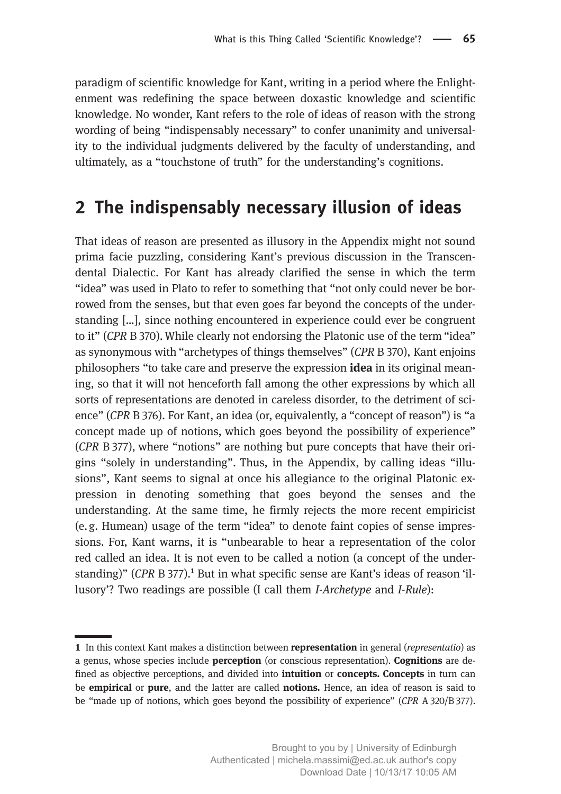paradigm of scientific knowledge for Kant, writing in a period where the Enlightenment was redefining the space between doxastic knowledge and scientific knowledge. No wonder, Kant refers to the role of ideas of reason with the strong wording of being "indispensably necessary" to confer unanimity and universality to the individual judgments delivered by the faculty of understanding, and ultimately, as a "touchstone of truth" for the understanding's cognitions.

### 2 The indispensably necessary illusion of ideas

That ideas of reason are presented as illusory in the Appendix might not sound prima facie puzzling, considering Kant's previous discussion in the Transcendental Dialectic. For Kant has already clarified the sense in which the term "idea" was used in Plato to refer to something that "not only could never be borrowed from the senses, but that even goes far beyond the concepts of the understanding […], since nothing encountered in experience could ever be congruent to it" (CPR B 370).While clearly not endorsing the Platonic use of the term "idea" as synonymous with "archetypes of things themselves" (CPR B 370), Kant enjoins philosophers "to take care and preserve the expression **idea** in its original meaning, so that it will not henceforth fall among the other expressions by which all sorts of representations are denoted in careless disorder, to the detriment of science" (CPR B 376). For Kant, an idea (or, equivalently, a "concept of reason") is "a concept made up of notions, which goes beyond the possibility of experience" (CPR B 377), where "notions" are nothing but pure concepts that have their origins "solely in understanding". Thus, in the Appendix, by calling ideas "illusions", Kant seems to signal at once his allegiance to the original Platonic expression in denoting something that goes beyond the senses and the understanding. At the same time, he firmly rejects the more recent empiricist (e.g. Humean) usage of the term "idea" to denote faint copies of sense impressions. For, Kant warns, it is "unbearable to hear a representation of the color red called an idea. It is not even to be called a notion (a concept of the understanding)" (CPR B 377).<sup>1</sup> But in what specific sense are Kant's ideas of reason 'illusory'? Two readings are possible (I call them I-Archetype and I-Rule):

<sup>1</sup> In this context Kant makes a distinction between representation in general (representatio) as a genus, whose species include perception (or conscious representation). Cognitions are defined as objective perceptions, and divided into **intuition** or **concepts. Concepts** in turn can be **empirical** or **pure**, and the latter are called **notions.** Hence, an idea of reason is said to be "made up of notions, which goes beyond the possibility of experience" (CPR A 320/B 377).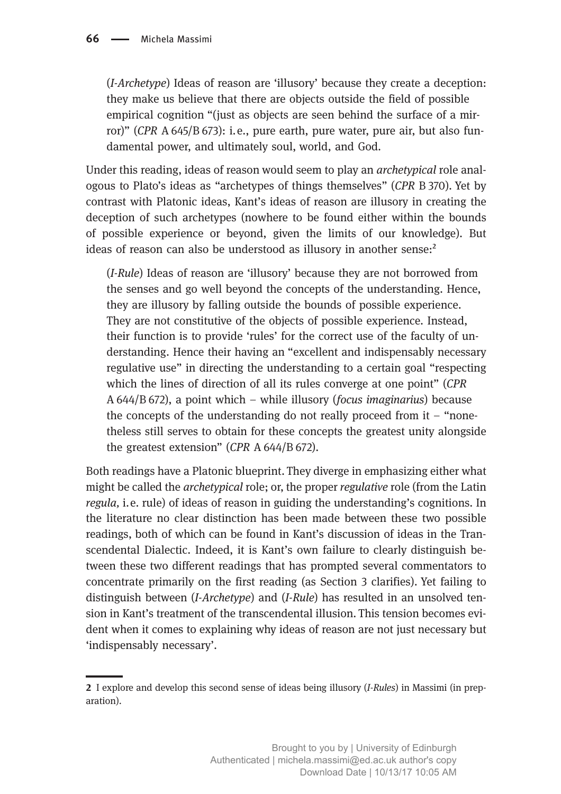(I-Archetype) Ideas of reason are 'illusory' because they create a deception: they make us believe that there are objects outside the field of possible empirical cognition "(just as objects are seen behind the surface of a mirror)" (CPR A 645/B 673): i.e., pure earth, pure water, pure air, but also fundamental power, and ultimately soul, world, and God.

Under this reading, ideas of reason would seem to play an *archetypical* role analogous to Plato's ideas as "archetypes of things themselves" (CPR B 370). Yet by contrast with Platonic ideas, Kant's ideas of reason are illusory in creating the deception of such archetypes (nowhere to be found either within the bounds of possible experience or beyond, given the limits of our knowledge). But ideas of reason can also be understood as illusory in another sense:

(I-Rule) Ideas of reason are 'illusory' because they are not borrowed from the senses and go well beyond the concepts of the understanding. Hence, they are illusory by falling outside the bounds of possible experience. They are not constitutive of the objects of possible experience. Instead, their function is to provide 'rules' for the correct use of the faculty of understanding. Hence their having an "excellent and indispensably necessary regulative use" in directing the understanding to a certain goal "respecting which the lines of direction of all its rules converge at one point" (CPR  $A 644/B 672$ , a point which – while illusory (*focus imaginarius*) because the concepts of the understanding do not really proceed from it  $-$  "nonetheless still serves to obtain for these concepts the greatest unity alongside the greatest extension" (CPR A 644/B 672).

Both readings have a Platonic blueprint. They diverge in emphasizing either what might be called the *archetypical* role; or, the proper *regulative* role (from the Latin regula, i.e. rule) of ideas of reason in guiding the understanding's cognitions. In the literature no clear distinction has been made between these two possible readings, both of which can be found in Kant's discussion of ideas in the Transcendental Dialectic. Indeed, it is Kant's own failure to clearly distinguish between these two different readings that has prompted several commentators to concentrate primarily on the first reading (as Section 3 clarifies). Yet failing to distinguish between (I-Archetype) and (I-Rule) has resulted in an unsolved tension in Kant's treatment of the transcendental illusion. This tension becomes evident when it comes to explaining why ideas of reason are not just necessary but 'indispensably necessary'.

<sup>2</sup> I explore and develop this second sense of ideas being illusory (*I-Rules*) in Massimi (in preparation).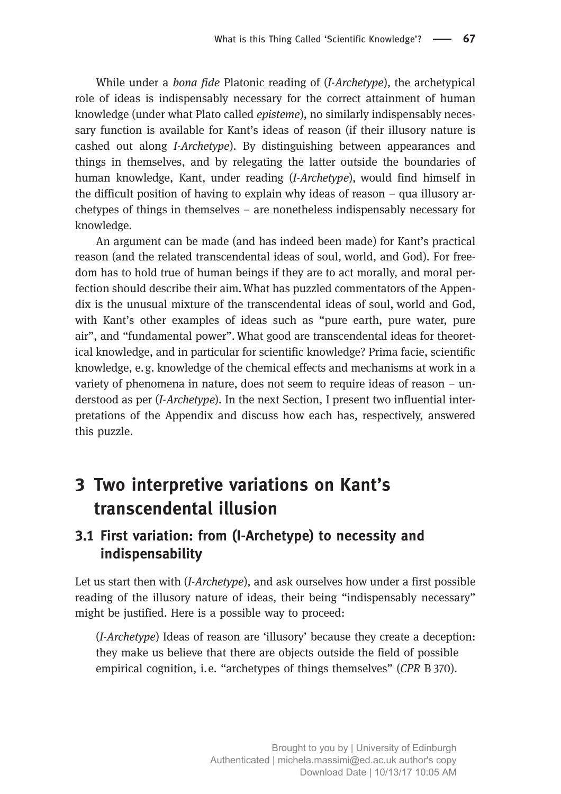While under a bona fide Platonic reading of (I-Archetype), the archetypical role of ideas is indispensably necessary for the correct attainment of human knowledge (under what Plato called episteme), no similarly indispensably necessary function is available for Kant's ideas of reason (if their illusory nature is cashed out along I-Archetype). By distinguishing between appearances and things in themselves, and by relegating the latter outside the boundaries of human knowledge, Kant, under reading (I-Archetype), would find himself in the difficult position of having to explain why ideas of reason – qua illusory archetypes of things in themselves – are nonetheless indispensably necessary for knowledge.

An argument can be made (and has indeed been made) for Kant's practical reason (and the related transcendental ideas of soul, world, and God). For freedom has to hold true of human beings if they are to act morally, and moral perfection should describe their aim.What has puzzled commentators of the Appendix is the unusual mixture of the transcendental ideas of soul, world and God, with Kant's other examples of ideas such as "pure earth, pure water, pure air", and "fundamental power". What good are transcendental ideas for theoretical knowledge, and in particular for scientific knowledge? Prima facie, scientific knowledge, e. g. knowledge of the chemical effects and mechanisms at work in a variety of phenomena in nature, does not seem to require ideas of reason – understood as per (I-Archetype). In the next Section, I present two influential interpretations of the Appendix and discuss how each has, respectively, answered this puzzle.

## 3 Two interpretive variations on Kant's transcendental illusion

#### 3.1 First variation: from (I-Archetype) to necessity and indispensability

Let us start then with (*I-Archetype*), and ask ourselves how under a first possible reading of the illusory nature of ideas, their being "indispensably necessary" might be justified. Here is a possible way to proceed:

(I-Archetype) Ideas of reason are 'illusory' because they create a deception: they make us believe that there are objects outside the field of possible empirical cognition, i.e. "archetypes of things themselves" (CPR B 370).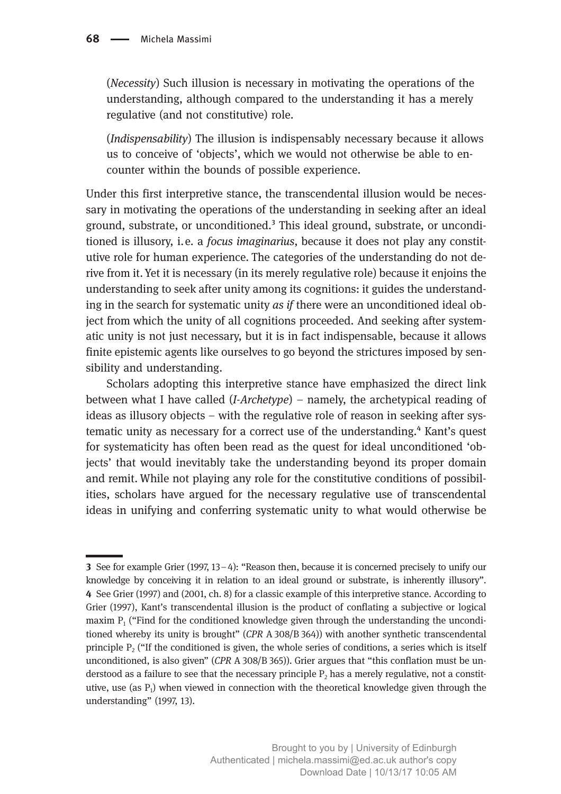(Necessity) Such illusion is necessary in motivating the operations of the understanding, although compared to the understanding it has a merely regulative (and not constitutive) role.

(Indispensability) The illusion is indispensably necessary because it allows us to conceive of 'objects', which we would not otherwise be able to encounter within the bounds of possible experience.

Under this first interpretive stance, the transcendental illusion would be necessary in motivating the operations of the understanding in seeking after an ideal ground, substrate, or unconditioned.<sup>3</sup> This ideal ground, substrate, or unconditioned is illusory, i.e. a focus imaginarius, because it does not play any constitutive role for human experience. The categories of the understanding do not derive from it. Yet it is necessary (in its merely regulative role) because it enjoins the understanding to seek after unity among its cognitions: it guides the understanding in the search for systematic unity as if there were an unconditioned ideal object from which the unity of all cognitions proceeded. And seeking after systematic unity is not just necessary, but it is in fact indispensable, because it allows finite epistemic agents like ourselves to go beyond the strictures imposed by sensibility and understanding.

Scholars adopting this interpretive stance have emphasized the direct link between what I have called (*I-Archetype*) – namely, the archetypical reading of ideas as illusory objects – with the regulative role of reason in seeking after systematic unity as necessary for a correct use of the understanding.<sup>4</sup> Kant's quest for systematicity has often been read as the quest for ideal unconditioned 'objects' that would inevitably take the understanding beyond its proper domain and remit. While not playing any role for the constitutive conditions of possibilities, scholars have argued for the necessary regulative use of transcendental ideas in unifying and conferring systematic unity to what would otherwise be

See for example Grier (1997, 13–4): "Reason then, because it is concerned precisely to unify our knowledge by conceiving it in relation to an ideal ground or substrate, is inherently illusory". See Grier (1997) and (2001, ch. 8) for a classic example of this interpretive stance. According to Grier (1997), Kant's transcendental illusion is the product of conflating a subjective or logical maxim  $P_1$  ("Find for the conditioned knowledge given through the understanding the unconditioned whereby its unity is brought" (CPR A 308/B 364)) with another synthetic transcendental principle  $P<sub>2</sub>$  ("If the conditioned is given, the whole series of conditions, a series which is itself unconditioned, is also given" (CPR A 308/B 365)). Grier argues that "this conflation must be understood as a failure to see that the necessary principle  $P_2$  has a merely regulative, not a constitutive, use (as  $P_1$ ) when viewed in connection with the theoretical knowledge given through the understanding" (1997, 13).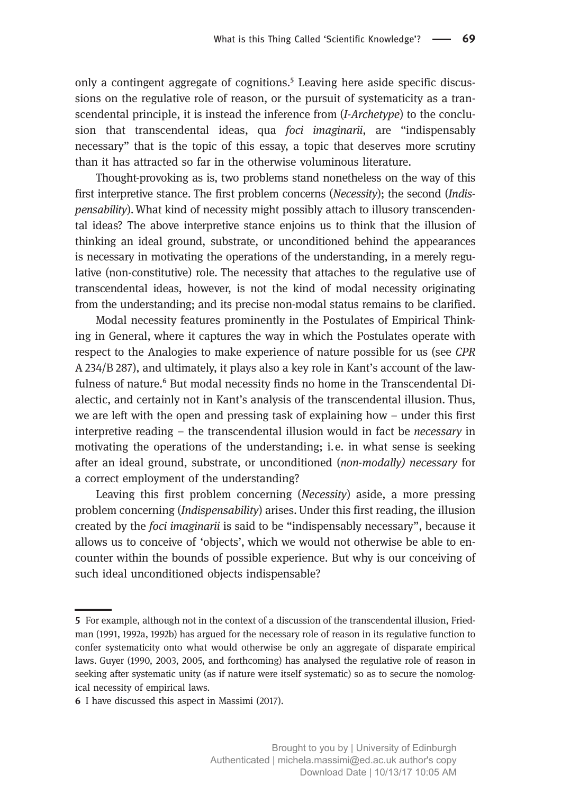only a contingent aggregate of cognitions.<sup>5</sup> Leaving here aside specific discussions on the regulative role of reason, or the pursuit of systematicity as a transcendental principle, it is instead the inference from (*I-Archetype*) to the conclusion that transcendental ideas, qua foci imaginarii, are "indispensably necessary" that is the topic of this essay, a topic that deserves more scrutiny than it has attracted so far in the otherwise voluminous literature.

Thought-provoking as is, two problems stand nonetheless on the way of this first interpretive stance. The first problem concerns (Necessity); the second (Indispensability). What kind of necessity might possibly attach to illusory transcendental ideas? The above interpretive stance enjoins us to think that the illusion of thinking an ideal ground, substrate, or unconditioned behind the appearances is necessary in motivating the operations of the understanding, in a merely regulative (non-constitutive) role. The necessity that attaches to the regulative use of transcendental ideas, however, is not the kind of modal necessity originating from the understanding; and its precise non-modal status remains to be clarified.

Modal necessity features prominently in the Postulates of Empirical Thinking in General, where it captures the way in which the Postulates operate with respect to the Analogies to make experience of nature possible for us (see CPR A 234/B 287), and ultimately, it plays also a key role in Kant's account of the lawfulness of nature.<sup>6</sup> But modal necessity finds no home in the Transcendental Dialectic, and certainly not in Kant's analysis of the transcendental illusion. Thus, we are left with the open and pressing task of explaining how – under this first interpretive reading – the transcendental illusion would in fact be necessary in motivating the operations of the understanding; i.e. in what sense is seeking after an ideal ground, substrate, or unconditioned (non-modally) necessary for a correct employment of the understanding?

Leaving this first problem concerning (*Necessity*) aside, a more pressing problem concerning (Indispensability) arises. Under this first reading, the illusion created by the foci imaginarii is said to be "indispensably necessary", because it allows us to conceive of 'objects', which we would not otherwise be able to encounter within the bounds of possible experience. But why is our conceiving of such ideal unconditioned objects indispensable?

For example, although not in the context of a discussion of the transcendental illusion, Friedman (1991, 1992a, 1992b) has argued for the necessary role of reason in its regulative function to confer systematicity onto what would otherwise be only an aggregate of disparate empirical laws. Guyer (1990, 2003, 2005, and forthcoming) has analysed the regulative role of reason in seeking after systematic unity (as if nature were itself systematic) so as to secure the nomological necessity of empirical laws.

I have discussed this aspect in Massimi (2017).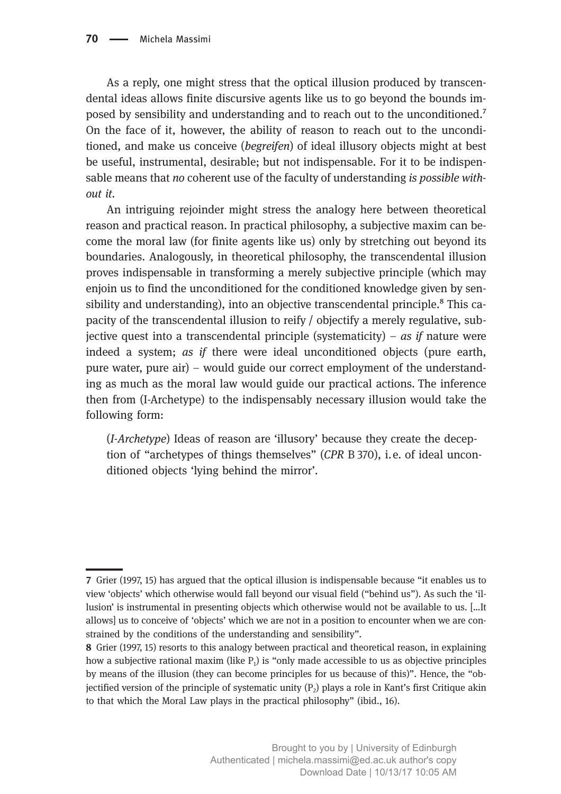As a reply, one might stress that the optical illusion produced by transcendental ideas allows finite discursive agents like us to go beyond the bounds imposed by sensibility and understanding and to reach out to the unconditioned. On the face of it, however, the ability of reason to reach out to the unconditioned, and make us conceive (begreifen) of ideal illusory objects might at best be useful, instrumental, desirable; but not indispensable. For it to be indispensable means that no coherent use of the faculty of understanding is possible without it.

An intriguing rejoinder might stress the analogy here between theoretical reason and practical reason. In practical philosophy, a subjective maxim can become the moral law (for finite agents like us) only by stretching out beyond its boundaries. Analogously, in theoretical philosophy, the transcendental illusion proves indispensable in transforming a merely subjective principle (which may enjoin us to find the unconditioned for the conditioned knowledge given by sensibility and understanding), into an objective transcendental principle.<sup>8</sup> This capacity of the transcendental illusion to reify / objectify a merely regulative, subjective quest into a transcendental principle (systematicity) – *as if* nature were indeed a system; as if there were ideal unconditioned objects (pure earth, pure water, pure air) – would guide our correct employment of the understanding as much as the moral law would guide our practical actions. The inference then from (I-Archetype) to the indispensably necessary illusion would take the following form:

(I-Archetype) Ideas of reason are 'illusory' because they create the deception of "archetypes of things themselves" (CPR B 370), i.e. of ideal unconditioned objects 'lying behind the mirror'.

Grier (1997, 15) has argued that the optical illusion is indispensable because "it enables us to view 'objects' which otherwise would fall beyond our visual field ("behind us"). As such the 'illusion' is instrumental in presenting objects which otherwise would not be available to us. […It allows] us to conceive of 'objects' which we are not in a position to encounter when we are constrained by the conditions of the understanding and sensibility".

Grier (1997, 15) resorts to this analogy between practical and theoretical reason, in explaining how a subjective rational maxim (like  $P_1$ ) is "only made accessible to us as objective principles by means of the illusion (they can become principles for us because of this)". Hence, the "objectified version of the principle of systematic unity  $(P_2)$  plays a role in Kant's first Critique akin to that which the Moral Law plays in the practical philosophy" (ibid., 16).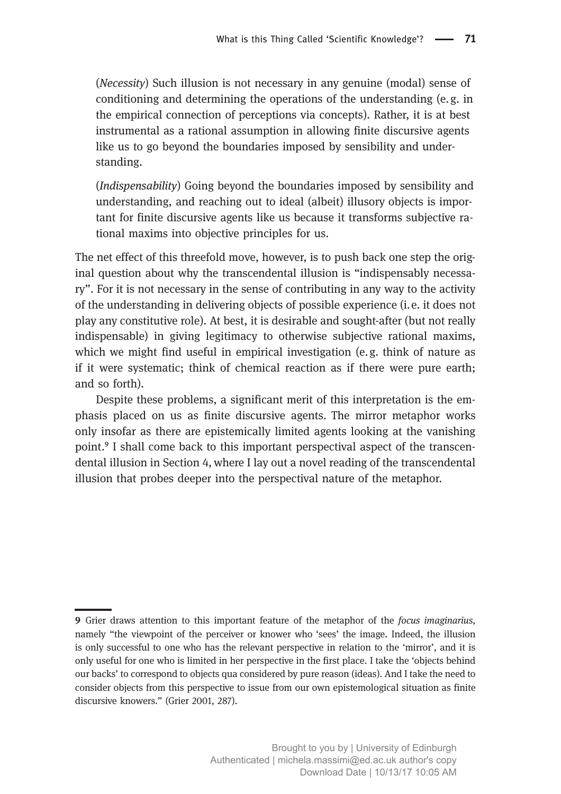(Necessity) Such illusion is not necessary in any genuine (modal) sense of conditioning and determining the operations of the understanding (e.g. in the empirical connection of perceptions via concepts). Rather, it is at best instrumental as a rational assumption in allowing finite discursive agents like us to go beyond the boundaries imposed by sensibility and understanding.

(Indispensability) Going beyond the boundaries imposed by sensibility and understanding, and reaching out to ideal (albeit) illusory objects is important for finite discursive agents like us because it transforms subjective rational maxims into objective principles for us.

The net effect of this threefold move, however, is to push back one step the original question about why the transcendental illusion is "indispensably necessary". For it is not necessary in the sense of contributing in any way to the activity of the understanding in delivering objects of possible experience (i.e. it does not play any constitutive role). At best, it is desirable and sought-after (but not really indispensable) in giving legitimacy to otherwise subjective rational maxims, which we might find useful in empirical investigation (e.g. think of nature as if it were systematic; think of chemical reaction as if there were pure earth; and so forth).

Despite these problems, a significant merit of this interpretation is the emphasis placed on us as finite discursive agents. The mirror metaphor works only insofar as there are epistemically limited agents looking at the vanishing point.<sup>9</sup> I shall come back to this important perspectival aspect of the transcendental illusion in Section 4, where I lay out a novel reading of the transcendental illusion that probes deeper into the perspectival nature of the metaphor.

<sup>9</sup> Grier draws attention to this important feature of the metaphor of the focus imaginarius, namely "the viewpoint of the perceiver or knower who 'sees' the image. Indeed, the illusion is only successful to one who has the relevant perspective in relation to the 'mirror', and it is only useful for one who is limited in her perspective in the first place. I take the 'objects behind our backs' to correspond to objects qua considered by pure reason (ideas). And I take the need to consider objects from this perspective to issue from our own epistemological situation as finite discursive knowers." (Grier 2001, 287).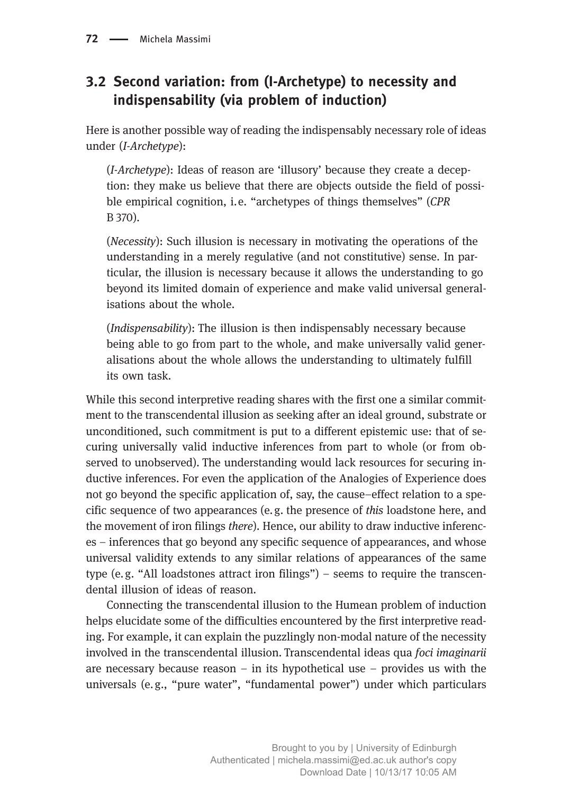#### 3.2 Second variation: from (I-Archetype) to necessity and indispensability (via problem of induction)

Here is another possible way of reading the indispensably necessary role of ideas under (I-Archetype):

(I-Archetype): Ideas of reason are 'illusory' because they create a deception: they make us believe that there are objects outside the field of possible empirical cognition, i.e. "archetypes of things themselves" (CPR B 370).

(Necessity): Such illusion is necessary in motivating the operations of the understanding in a merely regulative (and not constitutive) sense. In particular, the illusion is necessary because it allows the understanding to go beyond its limited domain of experience and make valid universal generalisations about the whole.

(Indispensability): The illusion is then indispensably necessary because being able to go from part to the whole, and make universally valid generalisations about the whole allows the understanding to ultimately fulfill its own task.

While this second interpretive reading shares with the first one a similar commitment to the transcendental illusion as seeking after an ideal ground, substrate or unconditioned, such commitment is put to a different epistemic use: that of securing universally valid inductive inferences from part to whole (or from observed to unobserved). The understanding would lack resources for securing inductive inferences. For even the application of the Analogies of Experience does not go beyond the specific application of, say, the cause–effect relation to a specific sequence of two appearances (e.g. the presence of this loadstone here, and the movement of iron filings there). Hence, our ability to draw inductive inferences – inferences that go beyond any specific sequence of appearances, and whose universal validity extends to any similar relations of appearances of the same type (e.g. "All loadstones attract iron filings") – seems to require the transcendental illusion of ideas of reason.

Connecting the transcendental illusion to the Humean problem of induction helps elucidate some of the difficulties encountered by the first interpretive reading. For example, it can explain the puzzlingly non-modal nature of the necessity involved in the transcendental illusion. Transcendental ideas qua foci imaginarii are necessary because reason – in its hypothetical use – provides us with the universals (e.g., "pure water", "fundamental power") under which particulars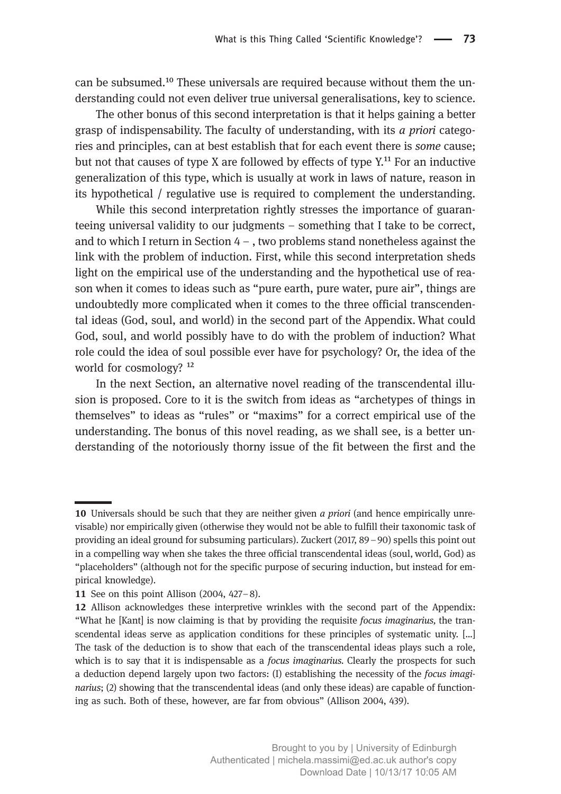can be subsumed.<sup>10</sup> These universals are required because without them the understanding could not even deliver true universal generalisations, key to science.

The other bonus of this second interpretation is that it helps gaining a better grasp of indispensability. The faculty of understanding, with its a priori categories and principles, can at best establish that for each event there is some cause; but not that causes of type X are followed by effects of type  $Y<sup>11</sup>$ . For an inductive generalization of this type, which is usually at work in laws of nature, reason in its hypothetical / regulative use is required to complement the understanding.

While this second interpretation rightly stresses the importance of guaranteeing universal validity to our judgments – something that I take to be correct, and to which I return in Section  $4 -$ , two problems stand nonetheless against the link with the problem of induction. First, while this second interpretation sheds light on the empirical use of the understanding and the hypothetical use of reason when it comes to ideas such as "pure earth, pure water, pure air", things are undoubtedly more complicated when it comes to the three official transcendental ideas (God, soul, and world) in the second part of the Appendix. What could God, soul, and world possibly have to do with the problem of induction? What role could the idea of soul possible ever have for psychology? Or, the idea of the world for cosmology?<sup>12</sup>

In the next Section, an alternative novel reading of the transcendental illusion is proposed. Core to it is the switch from ideas as "archetypes of things in themselves" to ideas as "rules" or "maxims" for a correct empirical use of the understanding. The bonus of this novel reading, as we shall see, is a better understanding of the notoriously thorny issue of the fit between the first and the

<sup>10</sup> Universals should be such that they are neither given  $a$  priori (and hence empirically unrevisable) nor empirically given (otherwise they would not be able to fulfill their taxonomic task of providing an ideal ground for subsuming particulars). Zuckert (2017, 89–90) spells this point out in a compelling way when she takes the three official transcendental ideas (soul, world, God) as "placeholders" (although not for the specific purpose of securing induction, but instead for empirical knowledge).

<sup>11</sup> See on this point Allison  $(2004, 427-8)$ .

Allison acknowledges these interpretive wrinkles with the second part of the Appendix: "What he [Kant] is now claiming is that by providing the requisite focus imaginarius, the transcendental ideas serve as application conditions for these principles of systematic unity. […] The task of the deduction is to show that each of the transcendental ideas plays such a role, which is to say that it is indispensable as a *focus imaginarius*. Clearly the prospects for such a deduction depend largely upon two factors: (I) establishing the necessity of the focus imaginarius; (2) showing that the transcendental ideas (and only these ideas) are capable of functioning as such. Both of these, however, are far from obvious" (Allison 2004, 439).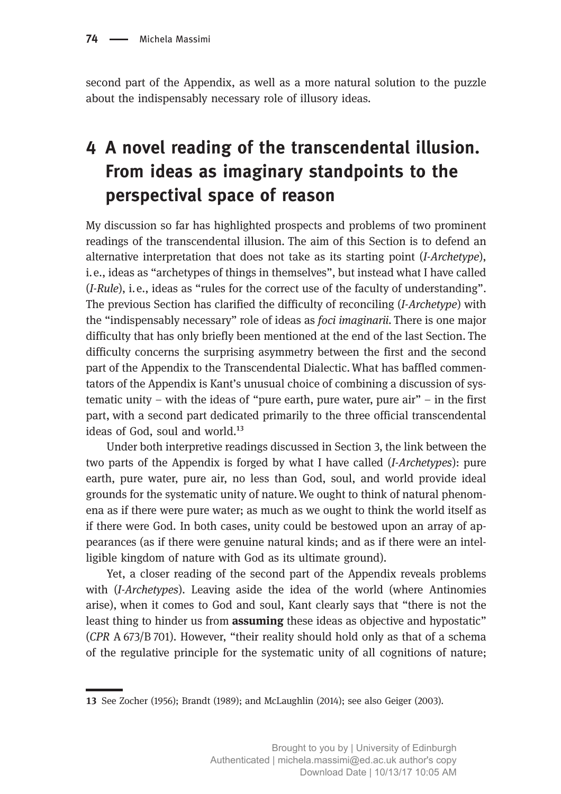second part of the Appendix, as well as a more natural solution to the puzzle about the indispensably necessary role of illusory ideas.

# 4 A novel reading of the transcendental illusion. From ideas as imaginary standpoints to the perspectival space of reason

My discussion so far has highlighted prospects and problems of two prominent readings of the transcendental illusion. The aim of this Section is to defend an alternative interpretation that does not take as its starting point (I-Archetype), i.e., ideas as "archetypes of things in themselves", but instead what I have called (I-Rule), i.e., ideas as "rules for the correct use of the faculty of understanding". The previous Section has clarified the difficulty of reconciling (I-Archetype) with the "indispensably necessary" role of ideas as foci imaginarii. There is one major difficulty that has only briefly been mentioned at the end of the last Section. The difficulty concerns the surprising asymmetry between the first and the second part of the Appendix to the Transcendental Dialectic. What has baffled commentators of the Appendix is Kant's unusual choice of combining a discussion of systematic unity – with the ideas of "pure earth, pure water, pure air" – in the first part, with a second part dedicated primarily to the three official transcendental ideas of God, soul and world.<sup>13</sup>

Under both interpretive readings discussed in Section 3, the link between the two parts of the Appendix is forged by what I have called (I-Archetypes): pure earth, pure water, pure air, no less than God, soul, and world provide ideal grounds for the systematic unity of nature.We ought to think of natural phenomena as if there were pure water; as much as we ought to think the world itself as if there were God. In both cases, unity could be bestowed upon an array of appearances (as if there were genuine natural kinds; and as if there were an intelligible kingdom of nature with God as its ultimate ground).

Yet, a closer reading of the second part of the Appendix reveals problems with (*I-Archetypes*). Leaving aside the idea of the world (where Antinomies arise), when it comes to God and soul, Kant clearly says that "there is not the least thing to hinder us from **assuming** these ideas as objective and hypostatic" (CPR A 673/B 701). However, "their reality should hold only as that of a schema of the regulative principle for the systematic unity of all cognitions of nature;

<sup>13</sup> See Zocher (1956); Brandt (1989); and McLaughlin (2014); see also Geiger (2003).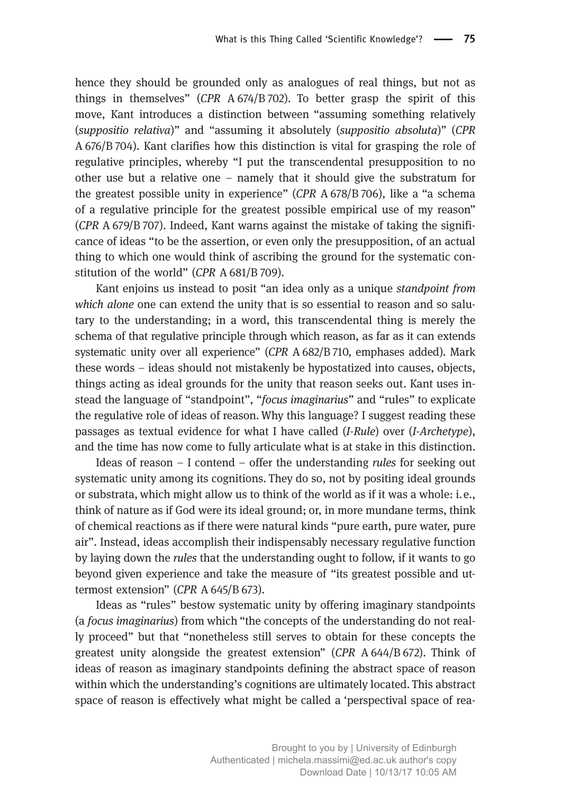hence they should be grounded only as analogues of real things, but not as things in themselves" (CPR A 674/B 702). To better grasp the spirit of this move, Kant introduces a distinction between "assuming something relatively (suppositio relativa)" and "assuming it absolutely (suppositio absoluta)" (CPR A 676/B 704). Kant clarifies how this distinction is vital for grasping the role of regulative principles, whereby "I put the transcendental presupposition to no other use but a relative one – namely that it should give the substratum for the greatest possible unity in experience" (CPR A 678/B 706), like a "a schema of a regulative principle for the greatest possible empirical use of my reason" (CPR A 679/B 707). Indeed, Kant warns against the mistake of taking the significance of ideas "to be the assertion, or even only the presupposition, of an actual thing to which one would think of ascribing the ground for the systematic constitution of the world" (CPR A 681/B 709).

Kant enjoins us instead to posit "an idea only as a unique standpoint from which alone one can extend the unity that is so essential to reason and so salutary to the understanding; in a word, this transcendental thing is merely the schema of that regulative principle through which reason, as far as it can extends systematic unity over all experience" (CPR A 682/B 710, emphases added). Mark these words – ideas should not mistakenly be hypostatized into causes, objects, things acting as ideal grounds for the unity that reason seeks out. Kant uses instead the language of "standpoint", "focus imaginarius" and "rules" to explicate the regulative role of ideas of reason. Why this language? I suggest reading these passages as textual evidence for what I have called (I-Rule) over (I-Archetype), and the time has now come to fully articulate what is at stake in this distinction.

Ideas of reason – I contend – offer the understanding rules for seeking out systematic unity among its cognitions. They do so, not by positing ideal grounds or substrata, which might allow us to think of the world as if it was a whole: i.e., think of nature as if God were its ideal ground; or, in more mundane terms, think of chemical reactions as if there were natural kinds "pure earth, pure water, pure air". Instead, ideas accomplish their indispensably necessary regulative function by laying down the rules that the understanding ought to follow, if it wants to go beyond given experience and take the measure of "its greatest possible and uttermost extension" (CPR A 645/B 673).

Ideas as "rules" bestow systematic unity by offering imaginary standpoints (a focus imaginarius) from which "the concepts of the understanding do not really proceed" but that "nonetheless still serves to obtain for these concepts the greatest unity alongside the greatest extension" (CPR A 644/B 672). Think of ideas of reason as imaginary standpoints defining the abstract space of reason within which the understanding's cognitions are ultimately located. This abstract space of reason is effectively what might be called a 'perspectival space of rea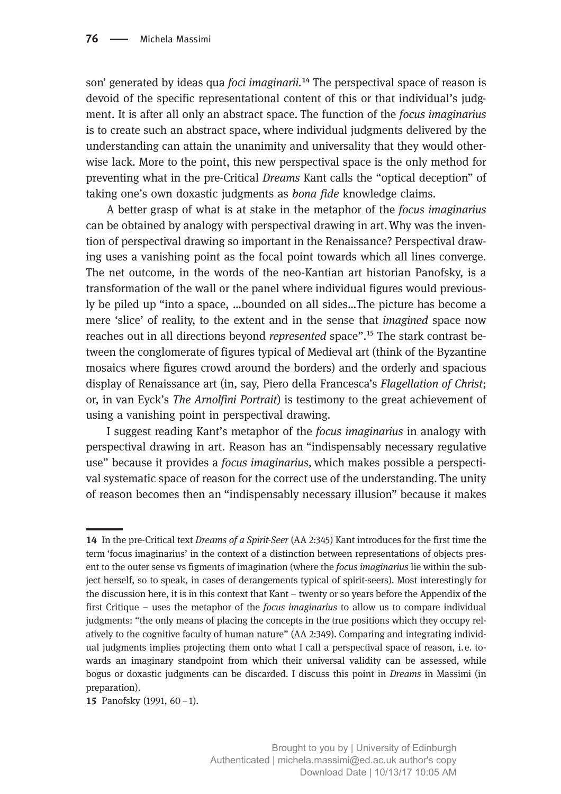son' generated by ideas qua *foci imaginarii*.<sup>14</sup> The perspectival space of reason is devoid of the specific representational content of this or that individual's judgment. It is after all only an abstract space. The function of the *focus imaginarius* is to create such an abstract space, where individual judgments delivered by the understanding can attain the unanimity and universality that they would otherwise lack. More to the point, this new perspectival space is the only method for preventing what in the pre-Critical Dreams Kant calls the "optical deception" of taking one's own doxastic judgments as bona fide knowledge claims.

A better grasp of what is at stake in the metaphor of the focus imaginarius can be obtained by analogy with perspectival drawing in art.Why was the invention of perspectival drawing so important in the Renaissance? Perspectival drawing uses a vanishing point as the focal point towards which all lines converge. The net outcome, in the words of the neo-Kantian art historian Panofsky, is a transformation of the wall or the panel where individual figures would previously be piled up "into a space, …bounded on all sides…The picture has become a mere 'slice' of reality, to the extent and in the sense that imagined space now reaches out in all directions beyond *represented* space".<sup>15</sup> The stark contrast between the conglomerate of figures typical of Medieval art (think of the Byzantine mosaics where figures crowd around the borders) and the orderly and spacious display of Renaissance art (in, say, Piero della Francesca's Flagellation of Christ; or, in van Eyck's The Arnolfini Portrait) is testimony to the great achievement of using a vanishing point in perspectival drawing.

I suggest reading Kant's metaphor of the focus imaginarius in analogy with perspectival drawing in art. Reason has an "indispensably necessary regulative use" because it provides a focus imaginarius, which makes possible a perspectival systematic space of reason for the correct use of the understanding. The unity of reason becomes then an "indispensably necessary illusion" because it makes

15 Panofsky (1991,  $60 - 1$ ).

<sup>14</sup> In the pre-Critical text Dreams of a Spirit-Seer (AA 2:345) Kant introduces for the first time the term 'focus imaginarius' in the context of a distinction between representations of objects present to the outer sense vs figments of imagination (where the focus imaginarius lie within the subject herself, so to speak, in cases of derangements typical of spirit-seers). Most interestingly for the discussion here, it is in this context that Kant – twenty or so years before the Appendix of the first Critique – uses the metaphor of the *focus imaginarius* to allow us to compare individual judgments: "the only means of placing the concepts in the true positions which they occupy relatively to the cognitive faculty of human nature" (AA 2:349). Comparing and integrating individual judgments implies projecting them onto what I call a perspectival space of reason, i.e. towards an imaginary standpoint from which their universal validity can be assessed, while bogus or doxastic judgments can be discarded. I discuss this point in Dreams in Massimi (in preparation).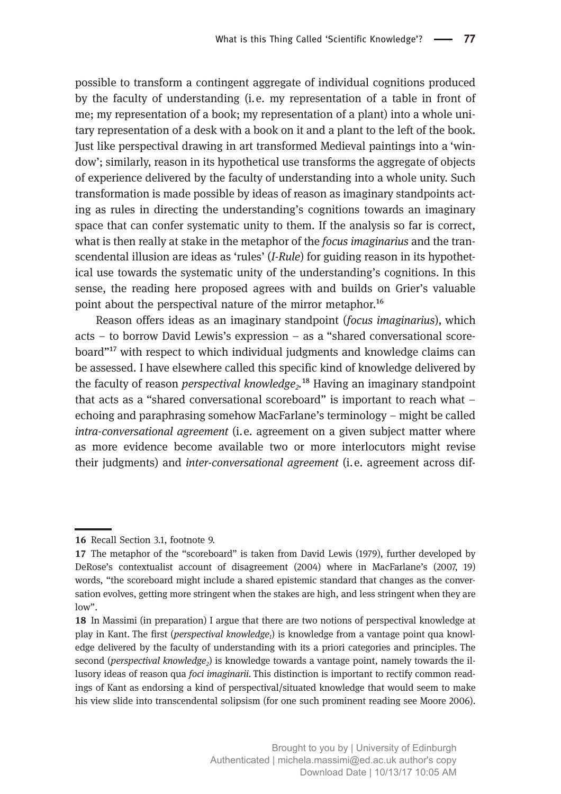possible to transform a contingent aggregate of individual cognitions produced by the faculty of understanding (i.e. my representation of a table in front of me; my representation of a book; my representation of a plant) into a whole unitary representation of a desk with a book on it and a plant to the left of the book. Just like perspectival drawing in art transformed Medieval paintings into a 'window'; similarly, reason in its hypothetical use transforms the aggregate of objects of experience delivered by the faculty of understanding into a whole unity. Such transformation is made possible by ideas of reason as imaginary standpoints acting as rules in directing the understanding's cognitions towards an imaginary space that can confer systematic unity to them. If the analysis so far is correct, what is then really at stake in the metaphor of the *focus imaginarius* and the transcendental illusion are ideas as 'rules' (I-Rule) for guiding reason in its hypothetical use towards the systematic unity of the understanding's cognitions. In this sense, the reading here proposed agrees with and builds on Grier's valuable point about the perspectival nature of the mirror metaphor.<sup>16</sup>

Reason offers ideas as an imaginary standpoint (focus imaginarius), which acts – to borrow David Lewis's expression – as a "shared conversational scoreboard<sup>"17</sup> with respect to which individual judgments and knowledge claims can be assessed. I have elsewhere called this specific kind of knowledge delivered by the faculty of reason *perspectival knowledge*<sup> $18$ </sup> Having an imaginary standpoint that acts as a "shared conversational scoreboard" is important to reach what – echoing and paraphrasing somehow MacFarlane's terminology – might be called intra-conversational agreement (i.e. agreement on a given subject matter where as more evidence become available two or more interlocutors might revise their judgments) and inter-conversational agreement (i.e. agreement across dif-

<sup>16</sup> Recall Section 3.1, footnote 9.

<sup>17</sup> The metaphor of the "scoreboard" is taken from David Lewis (1979), further developed by DeRose's contextualist account of disagreement (2004) where in MacFarlane's (2007, 19) words, "the scoreboard might include a shared epistemic standard that changes as the conversation evolves, getting more stringent when the stakes are high, and less stringent when they are low".

<sup>18</sup> In Massimi (in preparation) I argue that there are two notions of perspectival knowledge at play in Kant. The first (*perspectival knowledge<sub>1</sub>*) is knowledge from a vantage point qua knowledge delivered by the faculty of understanding with its a priori categories and principles. The second (perspectival knowledge<sub>2</sub>) is knowledge towards a vantage point, namely towards the illusory ideas of reason qua foci imaginarii. This distinction is important to rectify common readings of Kant as endorsing a kind of perspectival/situated knowledge that would seem to make his view slide into transcendental solipsism (for one such prominent reading see Moore 2006).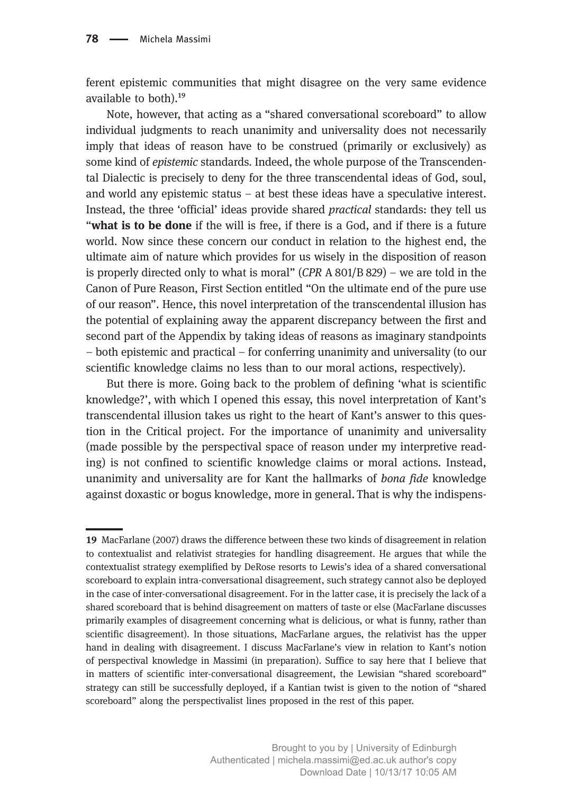ferent epistemic communities that might disagree on the very same evidence available to both). $^{19}$ 

Note, however, that acting as a "shared conversational scoreboard" to allow individual judgments to reach unanimity and universality does not necessarily imply that ideas of reason have to be construed (primarily or exclusively) as some kind of *epistemic* standards. Indeed, the whole purpose of the Transcendental Dialectic is precisely to deny for the three transcendental ideas of God, soul, and world any epistemic status – at best these ideas have a speculative interest. Instead, the three 'official' ideas provide shared practical standards: they tell us "what is to be done if the will is free, if there is a God, and if there is a future world. Now since these concern our conduct in relation to the highest end, the ultimate aim of nature which provides for us wisely in the disposition of reason is properly directed only to what is moral" (CPR A 801/B 829) – we are told in the Canon of Pure Reason, First Section entitled "On the ultimate end of the pure use of our reason". Hence, this novel interpretation of the transcendental illusion has the potential of explaining away the apparent discrepancy between the first and second part of the Appendix by taking ideas of reasons as imaginary standpoints – both epistemic and practical – for conferring unanimity and universality (to our scientific knowledge claims no less than to our moral actions, respectively).

But there is more. Going back to the problem of defining 'what is scientific knowledge?', with which I opened this essay, this novel interpretation of Kant's transcendental illusion takes us right to the heart of Kant's answer to this question in the Critical project. For the importance of unanimity and universality (made possible by the perspectival space of reason under my interpretive reading) is not confined to scientific knowledge claims or moral actions. Instead, unanimity and universality are for Kant the hallmarks of bona fide knowledge against doxastic or bogus knowledge, more in general. That is why the indispens-

<sup>19</sup> MacFarlane (2007) draws the difference between these two kinds of disagreement in relation to contextualist and relativist strategies for handling disagreement. He argues that while the contextualist strategy exemplified by DeRose resorts to Lewis's idea of a shared conversational scoreboard to explain intra-conversational disagreement, such strategy cannot also be deployed in the case of inter-conversational disagreement. For in the latter case, it is precisely the lack of a shared scoreboard that is behind disagreement on matters of taste or else (MacFarlane discusses primarily examples of disagreement concerning what is delicious, or what is funny, rather than scientific disagreement). In those situations, MacFarlane argues, the relativist has the upper hand in dealing with disagreement. I discuss MacFarlane's view in relation to Kant's notion of perspectival knowledge in Massimi (in preparation). Suffice to say here that I believe that in matters of scientific inter-conversational disagreement, the Lewisian "shared scoreboard" strategy can still be successfully deployed, if a Kantian twist is given to the notion of "shared scoreboard" along the perspectivalist lines proposed in the rest of this paper.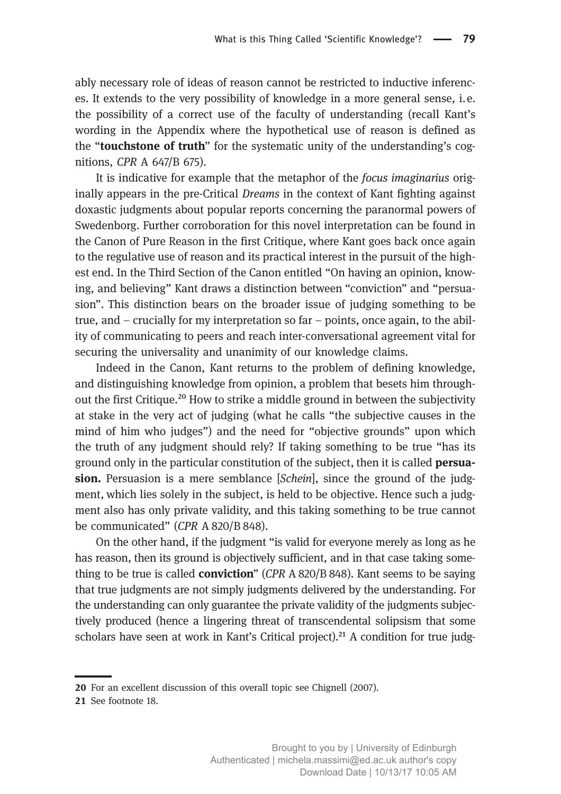ably necessary role of ideas of reason cannot be restricted to inductive inferences. It extends to the very possibility of knowledge in a more general sense, i.e. the possibility of a correct use of the faculty of understanding (recall Kant's wording in the Appendix where the hypothetical use of reason is defined as the "touchstone of truth" for the systematic unity of the understanding's cognitions, CPR A 647/B 675).

It is indicative for example that the metaphor of the focus imaginarius originally appears in the pre-Critical Dreams in the context of Kant fighting against doxastic judgments about popular reports concerning the paranormal powers of Swedenborg. Further corroboration for this novel interpretation can be found in the Canon of Pure Reason in the first Critique, where Kant goes back once again to the regulative use of reason and its practical interest in the pursuit of the highest end. In the Third Section of the Canon entitled "On having an opinion, knowing, and believing" Kant draws a distinction between "conviction" and "persuasion". This distinction bears on the broader issue of judging something to be true, and – crucially for my interpretation so far – points, once again, to the ability of communicating to peers and reach inter-conversational agreement vital for securing the universality and unanimity of our knowledge claims.

Indeed in the Canon, Kant returns to the problem of defining knowledge, and distinguishing knowledge from opinion, a problem that besets him throughout the first Critique.<sup>20</sup> How to strike a middle ground in between the subjectivity at stake in the very act of judging (what he calls "the subjective causes in the mind of him who judges") and the need for "objective grounds" upon which the truth of any judgment should rely? If taking something to be true "has its ground only in the particular constitution of the subject, then it is called **persua**sion. Persuasion is a mere semblance [Schein], since the ground of the judgment, which lies solely in the subject, is held to be objective. Hence such a judgment also has only private validity, and this taking something to be true cannot be communicated" (CPR A 820/B 848).

On the other hand, if the judgment "is valid for everyone merely as long as he has reason, then its ground is objectively sufficient, and in that case taking something to be true is called **conviction**" (*CPR* A 820/B 848). Kant seems to be saying that true judgments are not simply judgments delivered by the understanding. For the understanding can only guarantee the private validity of the judgments subjectively produced (hence a lingering threat of transcendental solipsism that some scholars have seen at work in Kant's Critical project).<sup>21</sup> A condition for true judg-

<sup>20</sup> For an excellent discussion of this overall topic see Chignell (2007).

<sup>21</sup> See footnote 18.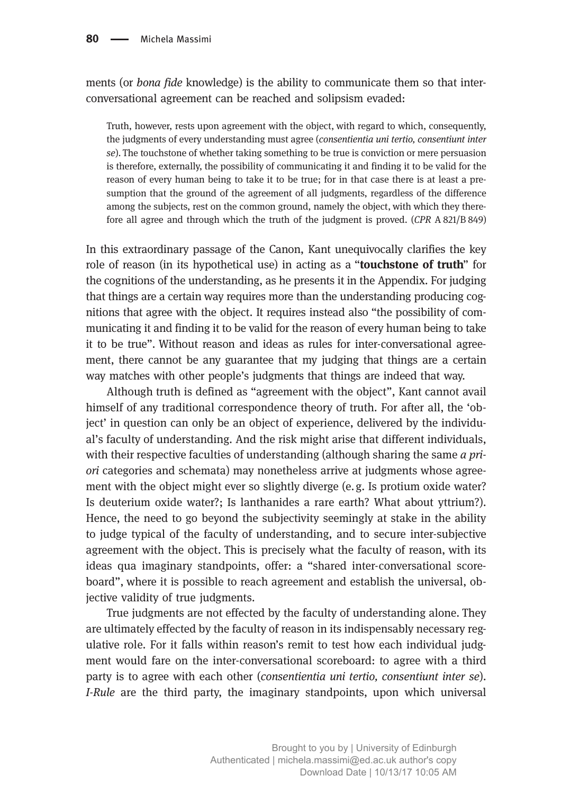ments (or *bona fide* knowledge) is the ability to communicate them so that interconversational agreement can be reached and solipsism evaded:

Truth, however, rests upon agreement with the object, with regard to which, consequently, the judgments of every understanding must agree (consentientia uni tertio, consentiunt inter se). The touchstone of whether taking something to be true is conviction or mere persuasion is therefore, externally, the possibility of communicating it and finding it to be valid for the reason of every human being to take it to be true; for in that case there is at least a presumption that the ground of the agreement of all judgments, regardless of the difference among the subjects, rest on the common ground, namely the object, with which they therefore all agree and through which the truth of the judgment is proved. (CPR A 821/B 849)

In this extraordinary passage of the Canon, Kant unequivocally clarifies the key role of reason (in its hypothetical use) in acting as a "**touchstone of truth**" for the cognitions of the understanding, as he presents it in the Appendix. For judging that things are a certain way requires more than the understanding producing cognitions that agree with the object. It requires instead also "the possibility of communicating it and finding it to be valid for the reason of every human being to take it to be true". Without reason and ideas as rules for inter-conversational agreement, there cannot be any guarantee that my judging that things are a certain way matches with other people's judgments that things are indeed that way.

Although truth is defined as "agreement with the object", Kant cannot avail himself of any traditional correspondence theory of truth. For after all, the 'object' in question can only be an object of experience, delivered by the individual's faculty of understanding. And the risk might arise that different individuals, with their respective faculties of understanding (although sharing the same *a pri*ori categories and schemata) may nonetheless arrive at judgments whose agreement with the object might ever so slightly diverge (e.g. Is protium oxide water? Is deuterium oxide water?; Is lanthanides a rare earth? What about yttrium?). Hence, the need to go beyond the subjectivity seemingly at stake in the ability to judge typical of the faculty of understanding, and to secure inter-subjective agreement with the object. This is precisely what the faculty of reason, with its ideas qua imaginary standpoints, offer: a "shared inter-conversational scoreboard", where it is possible to reach agreement and establish the universal, objective validity of true judgments.

True judgments are not effected by the faculty of understanding alone. They are ultimately effected by the faculty of reason in its indispensably necessary regulative role. For it falls within reason's remit to test how each individual judgment would fare on the inter-conversational scoreboard: to agree with a third party is to agree with each other (consentientia uni tertio, consentiunt inter se). I-Rule are the third party, the imaginary standpoints, upon which universal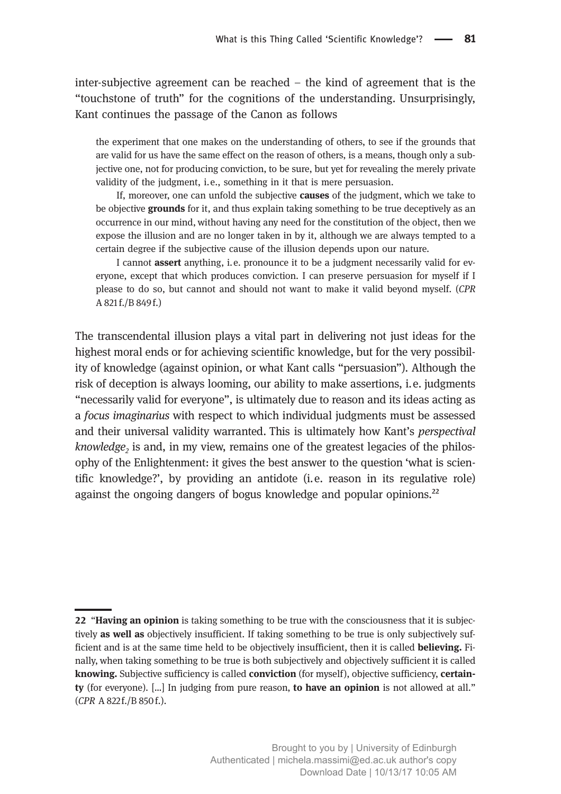inter-subjective agreement can be reached – the kind of agreement that is the "touchstone of truth" for the cognitions of the understanding. Unsurprisingly, Kant continues the passage of the Canon as follows

the experiment that one makes on the understanding of others, to see if the grounds that are valid for us have the same effect on the reason of others, is a means, though only a subjective one, not for producing conviction, to be sure, but yet for revealing the merely private validity of the judgment, i.e., something in it that is mere persuasion.

If, moreover, one can unfold the subjective causes of the judgment, which we take to be objective **grounds** for it, and thus explain taking something to be true deceptively as an occurrence in our mind, without having any need for the constitution of the object, then we expose the illusion and are no longer taken in by it, although we are always tempted to a certain degree if the subjective cause of the illusion depends upon our nature.

I cannot assert anything, i.e. pronounce it to be a judgment necessarily valid for everyone, except that which produces conviction. I can preserve persuasion for myself if I please to do so, but cannot and should not want to make it valid beyond myself. (CPR A 821 f./B 849f.)

The transcendental illusion plays a vital part in delivering not just ideas for the highest moral ends or for achieving scientific knowledge, but for the very possibility of knowledge (against opinion, or what Kant calls "persuasion"). Although the risk of deception is always looming, our ability to make assertions, i.e. judgments "necessarily valid for everyone", is ultimately due to reason and its ideas acting as a focus imaginarius with respect to which individual judgments must be assessed and their universal validity warranted. This is ultimately how Kant's perspectival  $knowledge<sub>2</sub>$  is and, in my view, remains one of the greatest legacies of the philosophy of the Enlightenment: it gives the best answer to the question 'what is scientific knowledge?', by providing an antidote (i.e. reason in its regulative role) against the ongoing dangers of bogus knowledge and popular opinions.<sup>22</sup>

<sup>22 &</sup>quot;Having an opinion is taking something to be true with the consciousness that it is subjectively as well as objectively insufficient. If taking something to be true is only subjectively sufficient and is at the same time held to be objectively insufficient, then it is called **believing.** Finally, when taking something to be true is both subjectively and objectively sufficient it is called knowing. Subjective sufficiency is called conviction (for myself), objective sufficiency, certainty (for everyone). […] In judging from pure reason, to have an opinion is not allowed at all." (CPR A 822 f./B 850 f.).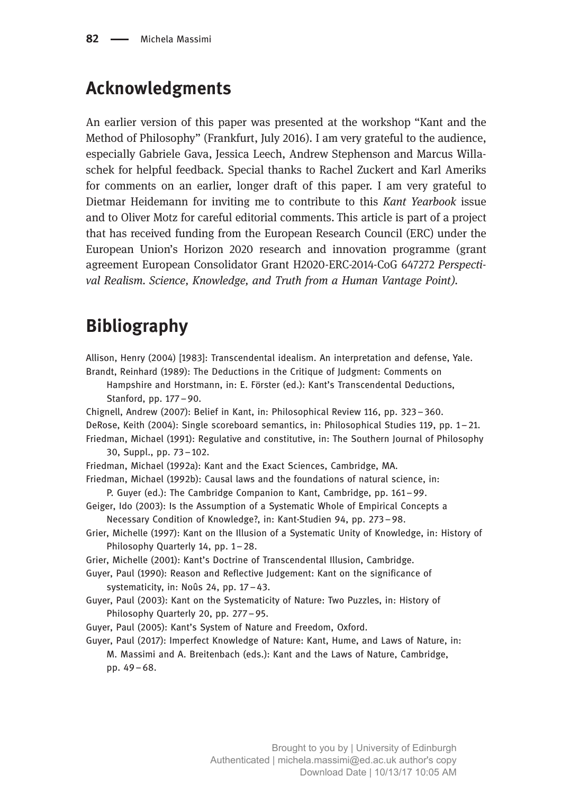## Acknowledgments

An earlier version of this paper was presented at the workshop "Kant and the Method of Philosophy" (Frankfurt, July 2016). I am very grateful to the audience, especially Gabriele Gava, Jessica Leech, Andrew Stephenson and Marcus Willaschek for helpful feedback. Special thanks to Rachel Zuckert and Karl Ameriks for comments on an earlier, longer draft of this paper. I am very grateful to Dietmar Heidemann for inviting me to contribute to this Kant Yearbook issue and to Oliver Motz for careful editorial comments. This article is part of a project that has received funding from the European Research Council (ERC) under the European Union's Horizon 2020 research and innovation programme (grant agreement European Consolidator Grant H2020-ERC-2014-CoG 647272 Perspectival Realism. Science, Knowledge, and Truth from a Human Vantage Point).

# Bibliography

Allison, Henry (2004) [1983]: Transcendental idealism. An interpretation and defense, Yale. Brandt, Reinhard (1989): The Deductions in the Critique of Judgment: Comments on Hampshire and Horstmann, in: E. Förster (ed.): Kant's Transcendental Deductions, Stanford, pp. 177–90. Chignell, Andrew (2007): Belief in Kant, in: Philosophical Review 116, pp. 323–360. DeRose, Keith (2004): Single scoreboard semantics, in: Philosophical Studies 119, pp. 1–21. Friedman, Michael (1991): Regulative and constitutive, in: The Southern Journal of Philosophy 30, Suppl., pp. 73–102. Friedman, Michael (1992a): Kant and the Exact Sciences, Cambridge, MA. Friedman, Michael (1992b): Causal laws and the foundations of natural science, in: P. Guyer (ed.): The Cambridge Companion to Kant, Cambridge, pp. 161–99. Geiger, Ido (2003): Is the Assumption of a Systematic Whole of Empirical Concepts a Necessary Condition of Knowledge?, in: Kant-Studien 94, pp. 273–98. Grier, Michelle (1997): Kant on the Illusion of a Systematic Unity of Knowledge, in: History of Philosophy Quarterly 14, pp. 1–28. Grier, Michelle (2001): Kant's Doctrine of Transcendental Illusion, Cambridge. Guyer, Paul (1990): Reason and Reflective Judgement: Kant on the significance of systematicity, in: Noûs 24, pp. 17–43. Guyer, Paul (2003): Kant on the Systematicity of Nature: Two Puzzles, in: History of Philosophy Quarterly 20, pp. 277–95. Guyer, Paul (2005): Kant's System of Nature and Freedom, Oxford. Guyer, Paul (2017): Imperfect Knowledge of Nature: Kant, Hume, and Laws of Nature, in: M. Massimi and A. Breitenbach (eds.): Kant and the Laws of Nature, Cambridge, pp. 49–68.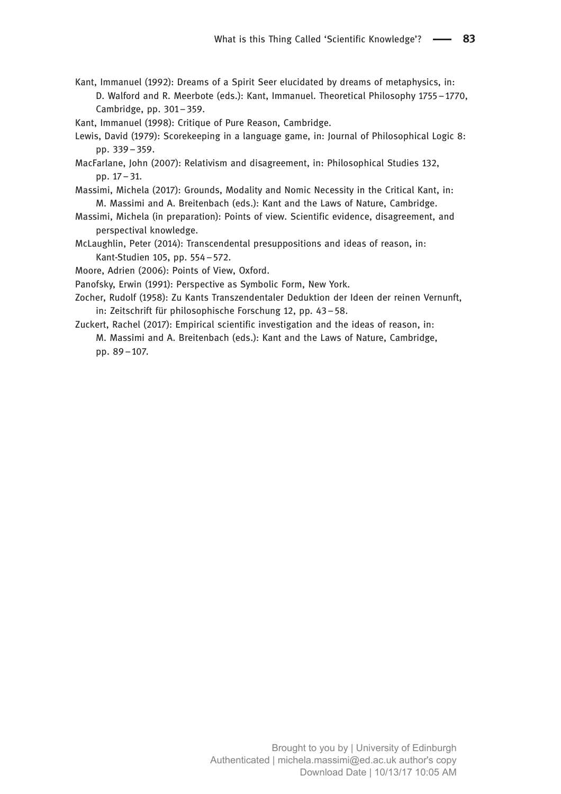- Kant, Immanuel (1992): Dreams of a Spirit Seer elucidated by dreams of metaphysics, in: D. Walford and R. Meerbote (eds.): Kant, Immanuel. Theoretical Philosophy 1755–1770, Cambridge, pp. 301–359.
- Kant, Immanuel (1998): Critique of Pure Reason, Cambridge.
- Lewis, David (1979): Scorekeeping in a language game, in: Journal of Philosophical Logic 8: pp. 339–359.
- MacFarlane, John (2007): Relativism and disagreement, in: Philosophical Studies 132, pp. 17–31.
- Massimi, Michela (2017): Grounds, Modality and Nomic Necessity in the Critical Kant, in: M. Massimi and A. Breitenbach (eds.): Kant and the Laws of Nature, Cambridge.
- Massimi, Michela (in preparation): Points of view. Scientific evidence, disagreement, and perspectival knowledge.
- McLaughlin, Peter (2014): Transcendental presuppositions and ideas of reason, in: Kant-Studien 105, pp. 554–572.
- Moore, Adrien (2006): Points of View, Oxford.
- Panofsky, Erwin (1991): Perspective as Symbolic Form, New York.
- Zocher, Rudolf (1958): Zu Kants Transzendentaler Deduktion der Ideen der reinen Vernunft, in: Zeitschrift für philosophische Forschung 12, pp. 43–58.
- Zuckert, Rachel (2017): Empirical scientific investigation and the ideas of reason, in: M. Massimi and A. Breitenbach (eds.): Kant and the Laws of Nature, Cambridge,

pp. 89–107.